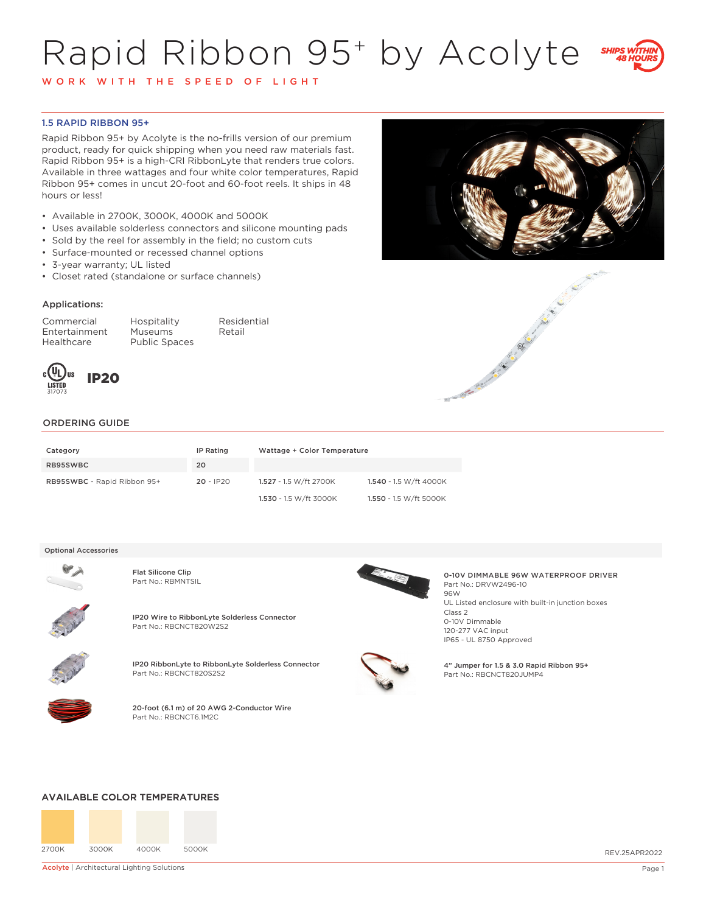# Rapid Ribbon 95+ by Acolyte



W O R K W I T H T H E S P E E D O F L I G H T

## 1.5 RAPID RIBBON 95+

Rapid Ribbon 95+ by Acolyte is the no-frills version of our premium product, ready for quick shipping when you need raw materials fast. Rapid Ribbon 95+ is a high-CRI RibbonLyte that renders true colors. Available in three wattages and four white color temperatures, Rapid Ribbon 95+ comes in uncut 20-foot and 60-foot reels. It ships in 48 hours or less!

- Available in 2700K, 3000K, 4000K and 5000K
- Uses available solderless connectors and silicone mounting pads
- Sold by the reel for assembly in the field; no custom cuts
- Surface-mounted or recessed channel options
- 3-year warranty; UL listed
- Closet rated (standalone or surface channels)

## Applications:

Commercial Hospitality Residential Entertainment Museums Retail Healthcare Public Spaces







## ORDERING GUIDE

| Category                    | IP Rating   | Wattage + Color Temperature |                        |
|-----------------------------|-------------|-----------------------------|------------------------|
| RB95SWBC                    | 20          |                             |                        |
| RB95SWBC - Rapid Ribbon 95+ | $20 - IP20$ | 1.527 - 1.5 W/ft 2700K      | 1.540 - 1.5 W/ft 4000K |
|                             |             | 1.530 - 1.5 W/ft 3000K      | 1.550 - 1.5 W/ft 5000K |

#### Optional Accessories



Flat Silicone Clip<br>Part No.: RBMNTSIL



IP20 Wire to RibbonLyte Solderless Connector Part No.: RBCNCT820W2S2



IP20 RibbonLyte to RibbonLyte Solderless Connector Part No.: RBCNCT820S2S2



20-foot (6.1 m) of 20 AWG 2-Conductor Wire Part No.: RBCNCT6.1M2C



0-10V DIMMABLE 96W WATERPROOF DRIVER Part No.: DRVW2496-10 96W UL Listed enclosure with built-in junction boxes Class 2 0-10V Dimmable 120-277 VAC input IP65 - UL 8750 Approved



4" Jumper for 1.5 & 3.0 Rapid Ribbon 95+ Part No.: RBCNCT820JUMP4

### AVAILABLE COLOR TEMPERATURES



**Acolyte | Architectural Lighting Solutions** Page 1